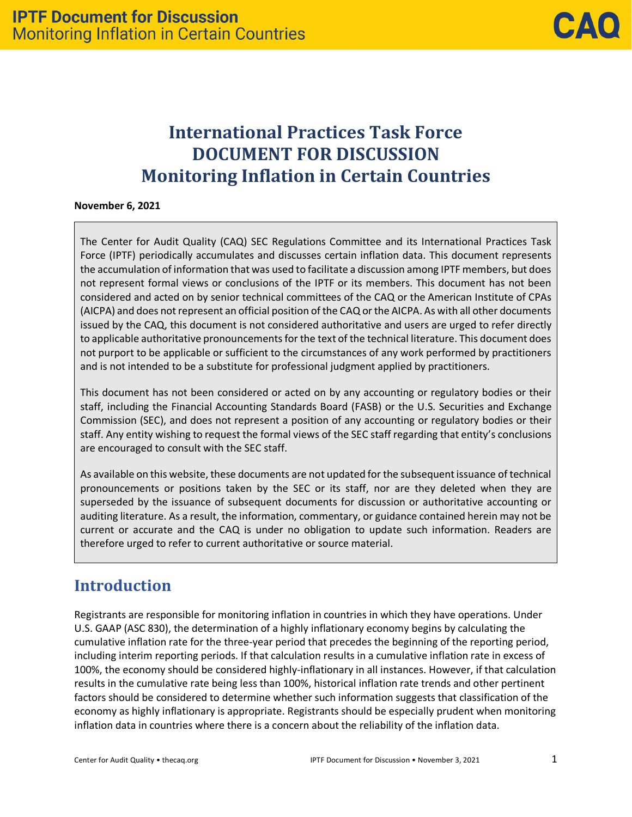# **International Practices Task Force DOCUMENT FOR DISCUSSION Monitoring Inflation in Certain Countries**

#### **November 6, 2021**

The Center for Audit Quality (CAQ) SEC Regulations Committee and its International Practices Task Force (IPTF) periodically accumulates and discusses certain inflation data. This document represents the accumulation of information that was used to facilitate a discussion among IPTF members, but does not represent formal views or conclusions of the IPTF or its members. This document has not been considered and acted on by senior technical committees of the CAQ or the American Institute of CPAs (AICPA) and does not represent an official position of the CAQ or the AICPA. As with all other documents issued by the CAQ, this document is not considered authoritative and users are urged to refer directly to applicable authoritative pronouncements for the text of the technical literature. This document does not purport to be applicable or sufficient to the circumstances of any work performed by practitioners and is not intended to be a substitute for professional judgment applied by practitioners.

This document has not been considered or acted on by any accounting or regulatory bodies or their staff, including the Financial Accounting Standards Board (FASB) or the U.S. Securities and Exchange Commission (SEC), and does not represent a position of any accounting or regulatory bodies or their staff. Any entity wishing to request the formal views of the SEC staff regarding that entity's conclusions are encouraged to consult with the SEC staff.

As available on this website, these documents are not updated for the subsequentissuance of technical pronouncements or positions taken by the SEC or its staff, nor are they deleted when they are superseded by the issuance of subsequent documents for discussion or authoritative accounting or auditing literature. As a result, the information, commentary, or guidance contained herein may not be current or accurate and the CAQ is under no obligation to update such information. Readers are therefore urged to refer to current authoritative or source material.

## **Introduction**

Registrants are responsible for monitoring inflation in countries in which they have operations. Under U.S. GAAP (ASC 830), the determination of a highly inflationary economy begins by calculating the cumulative inflation rate for the three-year period that precedes the beginning of the reporting period, including interim reporting periods. If that calculation results in a cumulative inflation rate in excess of 100%, the economy should be considered highly-inflationary in all instances. However, if that calculation results in the cumulative rate being less than 100%, historical inflation rate trends and other pertinent factors should be considered to determine whether such information suggests that classification of the economy as highly inflationary is appropriate. Registrants should be especially prudent when monitoring inflation data in countries where there is a concern about the reliability of the inflation data.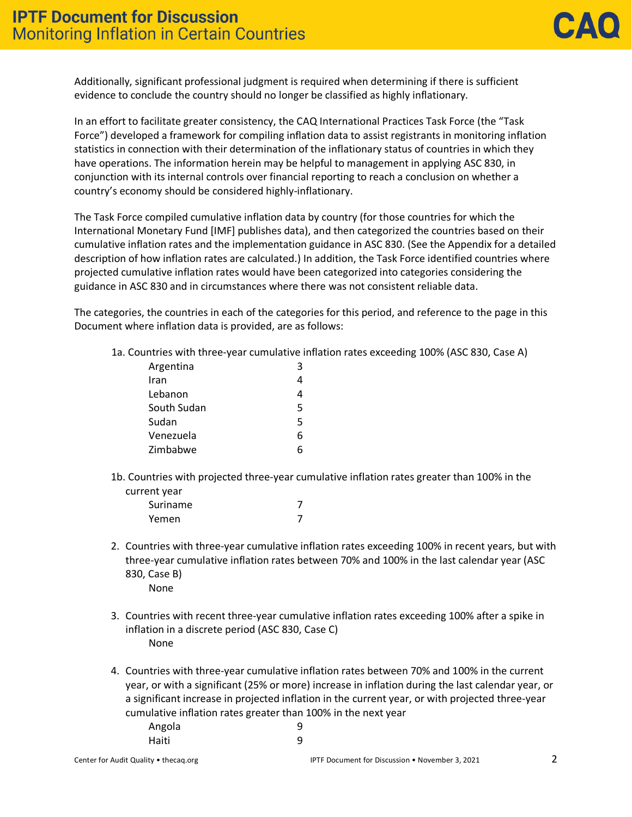Additionally, significant professional judgment is required when determining if there is sufficient evidence to conclude the country should no longer be classified as highly inflationary.

In an effort to facilitate greater consistency, the CAQ International Practices Task Force (the "Task Force") developed a framework for compiling inflation data to assist registrants in monitoring inflation statistics in connection with their determination of the inflationary status of countries in which they have operations. The information herein may be helpful to management in applying ASC 830, in conjunction with its internal controls over financial reporting to reach a conclusion on whether a country's economy should be considered highly-inflationary.

The Task Force compiled cumulative inflation data by country (for those countries for which the International Monetary Fund [IMF] publishes data), and then categorized the countries based on their cumulative inflation rates and the implementation guidance in ASC 830. (See the Appendix for a detailed description of how inflation rates are calculated.) In addition, the Task Force identified countries where projected cumulative inflation rates would have been categorized into categories considering the guidance in ASC 830 and in circumstances where there was not consistent reliable data.

The categories, the countries in each of the categories for this period, and reference to the page in this Document where inflation data is provided, are as follows:

1a. Countries with three-year cumulative inflation rates exceeding 100% (ASC 830, Case A)

| Argentina   | ว |
|-------------|---|
| Iran        |   |
| Lebanon     | Δ |
| South Sudan | 5 |
| Sudan       | 5 |
| Venezuela   | 6 |
| Zimbabwe    |   |
|             |   |

1b. Countries with projected three-year cumulative inflation rates greater than 100% in the current year

| Suriname |  |
|----------|--|
| Yemen    |  |

- 2. Countries with three-year cumulative inflation rates exceeding 100% in recent years, but with three-year cumulative inflation rates between 70% and 100% in the last calendar year (ASC 830, Case B) None
- 3. Countries with recent three-year cumulative inflation rates exceeding 100% after a spike in inflation in a discrete period (ASC 830, Case C) None
- 4. Countries with three-year cumulative inflation rates between 70% and 100% in the current year, or with a significant (25% or more) increase in inflation during the last calendar year, or a significant increase in projected inflation in the current year, or with projected three-year cumulative inflation rates greater than 100% in the next year Angola 9 Haiti 9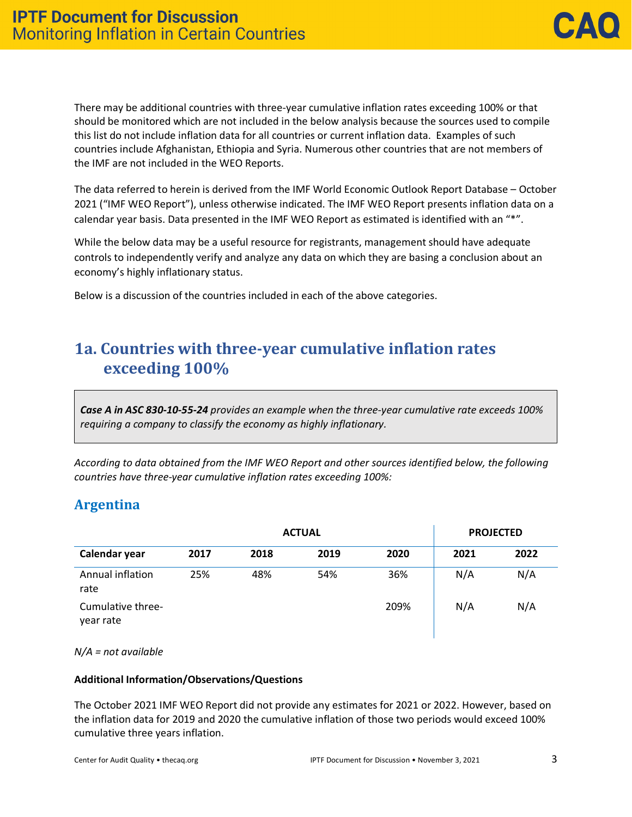There may be additional countries with three-year cumulative inflation rates exceeding 100% or that should be monitored which are not included in the below analysis because the sources used to compile this list do not include inflation data for all countries or current inflation data. Examples of such countries include Afghanistan, Ethiopia and Syria. Numerous other countries that are not members of the IMF are not included in the WEO Reports.

The data referred to herein is derived from the IMF World Economic Outlook Report Database – October 2021 ("IMF WEO Report"), unless otherwise indicated. The IMF WEO Report presents inflation data on a calendar year basis. Data presented in the IMF WEO Report as estimated is identified with an "\*".

While the below data may be a useful resource for registrants, management should have adequate controls to independently verify and analyze any data on which they are basing a conclusion about an economy's highly inflationary status.

Below is a discussion of the countries included in each of the above categories.

## **1a. Countries with three-year cumulative inflation rates exceeding 100%**

*Case A in ASC 830-10-55-24 provides an example when the three-year cumulative rate exceeds 100% requiring a company to classify the economy as highly inflationary.*

*According to data obtained from the IMF WEO Report and other sources identified below, the following countries have three-year cumulative inflation rates exceeding 100%:*

## **Argentina**

|                                | <b>PROJECTED</b> |      |      |      |      |      |
|--------------------------------|------------------|------|------|------|------|------|
| Calendar year                  | 2017             | 2018 | 2019 | 2020 | 2021 | 2022 |
| Annual inflation<br>rate       | 25%              | 48%  | 54%  | 36%  | N/A  | N/A  |
| Cumulative three-<br>year rate |                  |      |      | 209% | N/A  | N/A  |

*N/A = not available*

### **Additional Information/Observations/Questions**

The October 2021 IMF WEO Report did not provide any estimates for 2021 or 2022. However, based on the inflation data for 2019 and 2020 the cumulative inflation of those two periods would exceed 100% cumulative three years inflation.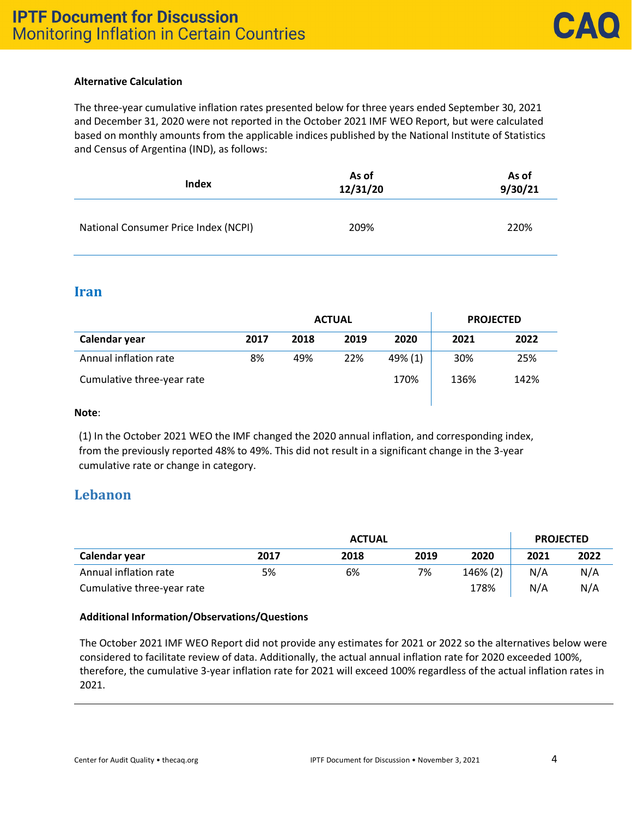### **Alternative Calculation**

The three-year cumulative inflation rates presented below for three years ended September 30, 2021 and December 31, 2020 were not reported in the October 2021 IMF WEO Report, but were calculated based on monthly amounts from the applicable indices published by the National Institute of Statistics and Census of Argentina (IND), as follows:

| Index                                | As of<br>12/31/20 | As of<br>9/30/21 |  |
|--------------------------------------|-------------------|------------------|--|
| National Consumer Price Index (NCPI) | 209%              | 220%             |  |

### **Iran**

|                            |      | <b>ACTUAL</b> | <b>PROJECTED</b> |         |      |      |
|----------------------------|------|---------------|------------------|---------|------|------|
| Calendar year              | 2017 | 2018          | 2019             | 2020    | 2021 | 2022 |
| Annual inflation rate      | 8%   | 49%           | 22%              | 49% (1) | 30%  | 25%  |
| Cumulative three-year rate |      |               |                  | 170%    | 136% | 142% |

#### **Note**:

(1) In the October 2021 WEO the IMF changed the 2020 annual inflation, and corresponding index, from the previously reported 48% to 49%. This did not result in a significant change in the 3-year cumulative rate or change in category.

### **Lebanon**

|                            | <b>ACTUAL</b> |      |      |          |      |      |
|----------------------------|---------------|------|------|----------|------|------|
| Calendar year              | 2017          | 2018 | 2019 | 2020     | 2021 | 2022 |
| Annual inflation rate      | 5%            | 6%   | 7%   | 146% (2) | N/A  | N/A  |
| Cumulative three-year rate |               |      |      | 178%     | N/A  | N/A  |

### **Additional Information/Observations/Questions**

The October 2021 IMF WEO Report did not provide any estimates for 2021 or 2022 so the alternatives below were considered to facilitate review of data. Additionally, the actual annual inflation rate for 2020 exceeded 100%, therefore, the cumulative 3-year inflation rate for 2021 will exceed 100% regardless of the actual inflation rates in 2021.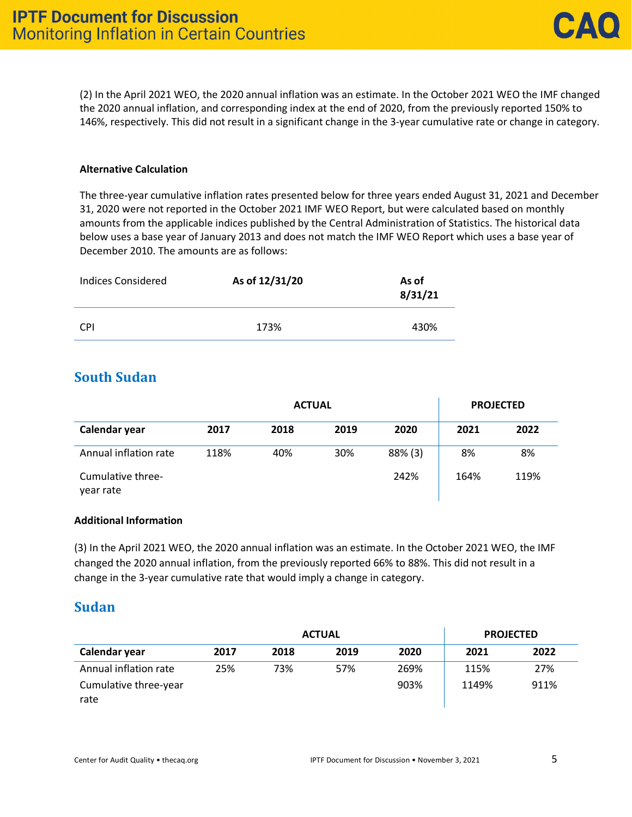(2) In the April 2021 WEO, the 2020 annual inflation was an estimate. In the October 2021 WEO the IMF changed the 2020 annual inflation, and corresponding index at the end of 2020, from the previously reported 150% to 146%, respectively. This did not result in a significant change in the 3-year cumulative rate or change in category.

#### **Alternative Calculation**

The three-year cumulative inflation rates presented below for three years ended August 31, 2021 and December 31, 2020 were not reported in the October 2021 IMF WEO Report, but were calculated based on monthly amounts from the applicable indices published by the Central Administration of Statistics. The historical data below uses a base year of January 2013 and does not match the IMF WEO Report which uses a base year of December 2010. The amounts are as follows:

| <b>Indices Considered</b> | As of 12/31/20 | As of<br>8/31/21 |
|---------------------------|----------------|------------------|
| <b>CPI</b>                | 173%           | 430%             |

### **South Sudan**

|                                | <b>PROJECTED</b> |      |      |            |      |      |
|--------------------------------|------------------|------|------|------------|------|------|
| Calendar year                  | 2017             | 2018 | 2019 | 2020       | 2021 | 2022 |
| Annual inflation rate          | 118%             | 40%  | 30%  | $88\%$ (3) | 8%   | 8%   |
| Cumulative three-<br>year rate |                  |      |      | 242%       | 164% | 119% |

### **Additional Information**

(3) In the April 2021 WEO, the 2020 annual inflation was an estimate. In the October 2021 WEO, the IMF changed the 2020 annual inflation, from the previously reported 66% to 88%. This did not result in a change in the 3-year cumulative rate that would imply a change in category.

### **Sudan**

|                               | <b>PROJECTED</b> |      |      |      |       |      |
|-------------------------------|------------------|------|------|------|-------|------|
| Calendar year                 | 2017             | 2018 | 2019 | 2020 | 2021  | 2022 |
| Annual inflation rate         | 25%              | 73%  | 57%  | 269% | 115%  | 27%  |
| Cumulative three-year<br>rate |                  |      |      | 903% | 1149% | 911% |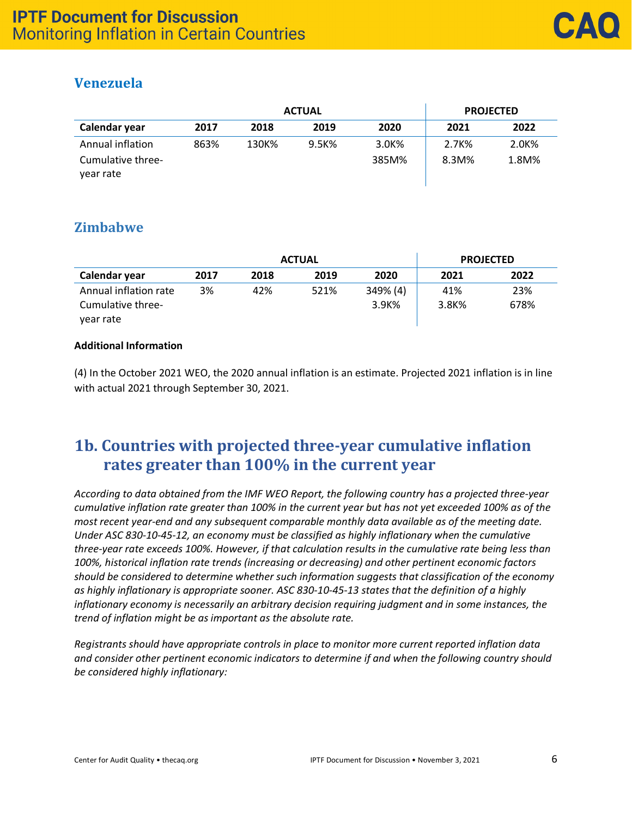## **Venezuela**

|                                                    |      | <b>PROJECTED</b> |       |                |                   |                |
|----------------------------------------------------|------|------------------|-------|----------------|-------------------|----------------|
| Calendar year                                      | 2017 | 2018             | 2019  | 2020           | 2021              | 2022           |
| Annual inflation<br>Cumulative three-<br>vear rate | 863% | 130K%            | 9.5K% | 3.0K%<br>385M% | 2.7K%<br>$8.3M\%$ | 2.0K%<br>1.8M% |

### **Zimbabwe**

|                       | <b>PROJECTED</b> |      |      |          |       |      |
|-----------------------|------------------|------|------|----------|-------|------|
| Calendar year         | 2017             | 2018 | 2019 | 2020     | 2021  | 2022 |
| Annual inflation rate | 3%               | 42%  | 521% | 349% (4) | 41%   | 23%  |
| Cumulative three-     |                  |      |      | 3.9K%    | 3.8K% | 678% |
| year rate             |                  |      |      |          |       |      |

### **Additional Information**

(4) In the October 2021 WEO, the 2020 annual inflation is an estimate. Projected 2021 inflation is in line with actual 2021 through September 30, 2021.

## **1b. Countries with projected three-year cumulative inflation rates greater than 100% in the current year**

*According to data obtained from the IMF WEO Report, the following country has a projected three-year cumulative inflation rate greater than 100% in the current year but has not yet exceeded 100% as of the most recent year-end and any subsequent comparable monthly data available as of the meeting date. Under ASC 830-10-45-12, an economy must be classified as highly inflationary when the cumulative three-year rate exceeds 100%. However, if that calculation results in the cumulative rate being less than 100%, historical inflation rate trends (increasing or decreasing) and other pertinent economic factors should be considered to determine whether such information suggests that classification of the economy as highly inflationary is appropriate sooner. ASC 830-10-45-13 states that the definition of a highly inflationary economy is necessarily an arbitrary decision requiring judgment and in some instances, the trend of inflation might be as important as the absolute rate.*

*Registrants should have appropriate controls in place to monitor more current reported inflation data and consider other pertinent economic indicators to determine if and when the following country should be considered highly inflationary:*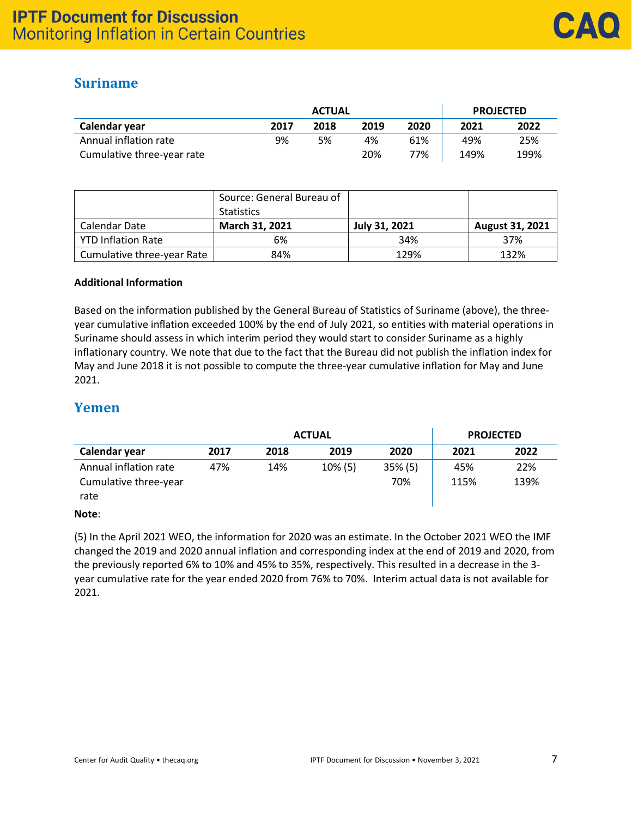## **Suriname**

|                            | <b>ACTUAL</b> |      |      |      | <b>PROJECTED</b> |      |  |
|----------------------------|---------------|------|------|------|------------------|------|--|
| Calendar year              | 2017          | 2018 | 2019 | 2020 | 2021             | 2022 |  |
| Annual inflation rate      | 9%            | 5%   | 4%   | 61%  | 49%              | 25%  |  |
| Cumulative three-year rate |               |      | 20%  | 77%  | 149%             | 199% |  |

|                            | Source: General Bureau of<br><b>Statistics</b> |               |                 |
|----------------------------|------------------------------------------------|---------------|-----------------|
| Calendar Date              | March 31, 2021                                 | July 31, 2021 | August 31, 2021 |
| <b>YTD Inflation Rate</b>  | 6%                                             | 34%           | 37%             |
| Cumulative three-year Rate | 84%                                            | 129%          | 132%            |

### **Additional Information**

Based on the information published by the General Bureau of Statistics of Suriname (above), the threeyear cumulative inflation exceeded 100% by the end of July 2021, so entities with material operations in Suriname should assess in which interim period they would start to consider Suriname as a highly inflationary country. We note that due to the fact that the Bureau did not publish the inflation index for May and June 2018 it is not possible to compute the three-year cumulative inflation for May and June 2021.

### **Yemen**

|                                                        | <b>ACTUAL</b> |      |         |                   | <b>PROJECTED</b> |             |
|--------------------------------------------------------|---------------|------|---------|-------------------|------------------|-------------|
| Calendar year                                          | 2017          | 2018 | 2019    | 2020              | 2021             | 2022        |
| Annual inflation rate<br>Cumulative three-year<br>rate | 47%           | 14%  | 10% (5) | $35\%$ (5)<br>70% | 45%<br>115%      | 22%<br>139% |

### **Note**:

(5) In the April 2021 WEO, the information for 2020 was an estimate. In the October 2021 WEO the IMF changed the 2019 and 2020 annual inflation and corresponding index at the end of 2019 and 2020, from the previously reported 6% to 10% and 45% to 35%, respectively. This resulted in a decrease in the 3 year cumulative rate for the year ended 2020 from 76% to 70%. Interim actual data is not available for 2021.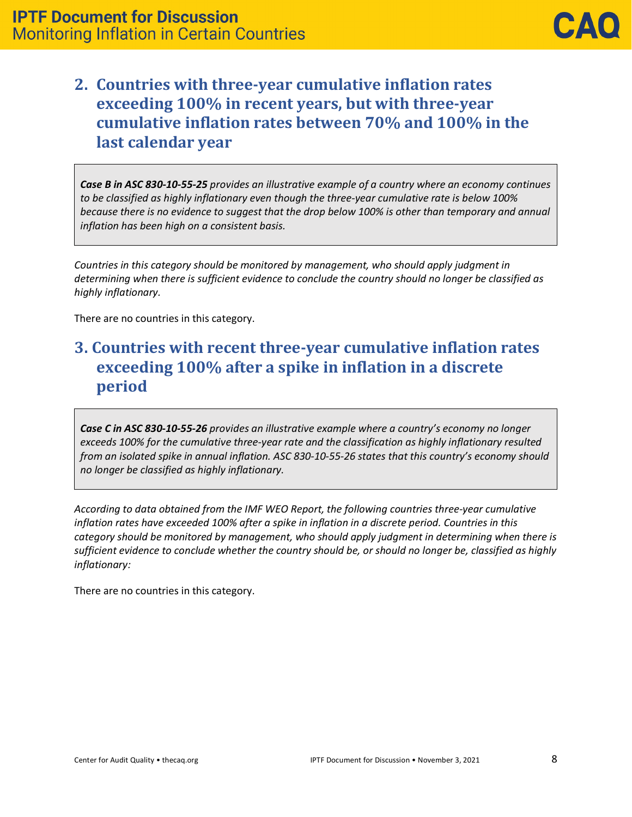## **2. Countries with three-year cumulative inflation rates exceeding 100% in recent years, but with three-year cumulative inflation rates between 70% and 100% in the last calendar year**

*Case B in ASC 830-10-55-25 provides an illustrative example of a country where an economy continues to be classified as highly inflationary even though the three-year cumulative rate is below 100% because there is no evidence to suggest that the drop below 100% is other than temporary and annual inflation has been high on a consistent basis.* 

*Countries in this category should be monitored by management, who should apply judgment in determining when there is sufficient evidence to conclude the country should no longer be classified as highly inflationary.*

There are no countries in this category.

# **3. Countries with recent three-year cumulative inflation rates exceeding 100% after a spike in inflation in a discrete period**

*Case C in ASC 830-10-55-26 provides an illustrative example where a country's economy no longer exceeds 100% for the cumulative three-year rate and the classification as highly inflationary resulted from an isolated spike in annual inflation. ASC 830-10-55-26 states that this country's economy should no longer be classified as highly inflationary.*

*According to data obtained from the IMF WEO Report, the following countries three-year cumulative inflation rates have exceeded 100% after a spike in inflation in a discrete period. Countries in this category should be monitored by management, who should apply judgment in determining when there is sufficient evidence to conclude whether the country should be, or should no longer be, classified as highly inflationary:*

There are no countries in this category.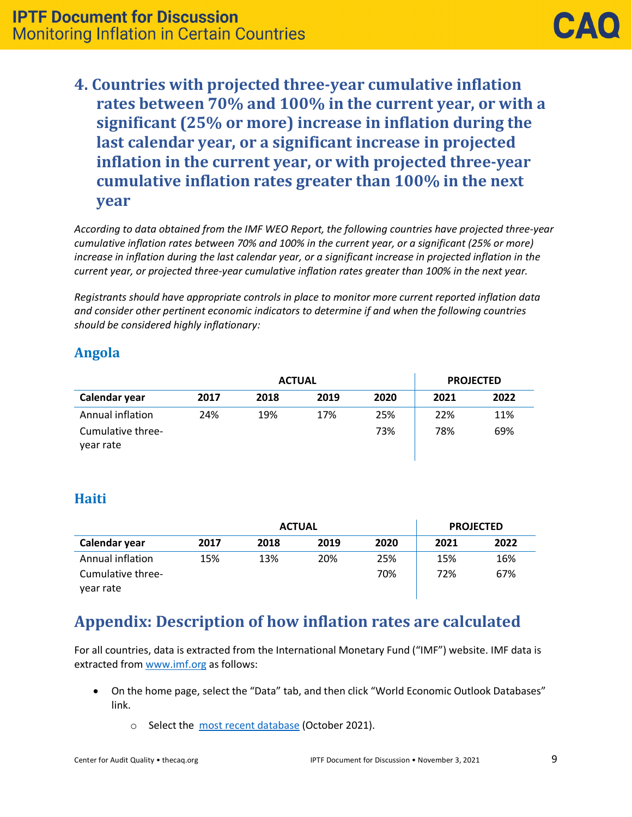**4. Countries with projected three-year cumulative inflation rates between 70% and 100% in the current year, or with a significant (25% or more) increase in inflation during the last calendar year, or a significant increase in projected inflation in the current year, or with projected three-year cumulative inflation rates greater than 100% in the next year**

*According to data obtained from the IMF WEO Report, the following countries have projected three-year cumulative inflation rates between 70% and 100% in the current year, or a significant (25% or more) increase in inflation during the last calendar year, or a significant increase in projected inflation in the current year, or projected three-year cumulative inflation rates greater than 100% in the next year.* 

*Registrants should have appropriate controls in place to monitor more current reported inflation data and consider other pertinent economic indicators to determine if and when the following countries should be considered highly inflationary:*

## **Angola**

|                                | <b>ACTUAL</b> |      |      | <b>PROJECTED</b> |      |      |
|--------------------------------|---------------|------|------|------------------|------|------|
| Calendar year                  | 2017          | 2018 | 2019 | 2020             | 2021 | 2022 |
| Annual inflation               | 24%           | 19%  | 17%  | 25%              | 22%  | 11%  |
| Cumulative three-<br>year rate |               |      |      | 73%              | 78%  | 69%  |

## **Haiti**

|                                | <b>ACTUAL</b> |      |      | <b>PROJECTED</b> |      |      |
|--------------------------------|---------------|------|------|------------------|------|------|
| Calendar year                  | 2017          | 2018 | 2019 | 2020             | 2021 | 2022 |
| Annual inflation               | 15%           | 13%  | 20%  | 25%              | 15%  | 16%  |
| Cumulative three-<br>year rate |               |      |      | 70%              | 72%  | 67%  |

# **Appendix: Description of how inflation rates are calculated**

For all countries, data is extracted from the International Monetary Fund ("IMF") website. IMF data is extracted from [www.imf.org](http://www.imf.org/) as follows:

- On the home page, select the "Data" tab, and then click "World Economic Outlook Databases" link.
	- o Select the [most recent database](https://www.imf.org/en/Publications/WEO/weo-database/2021/October) (October 2021).